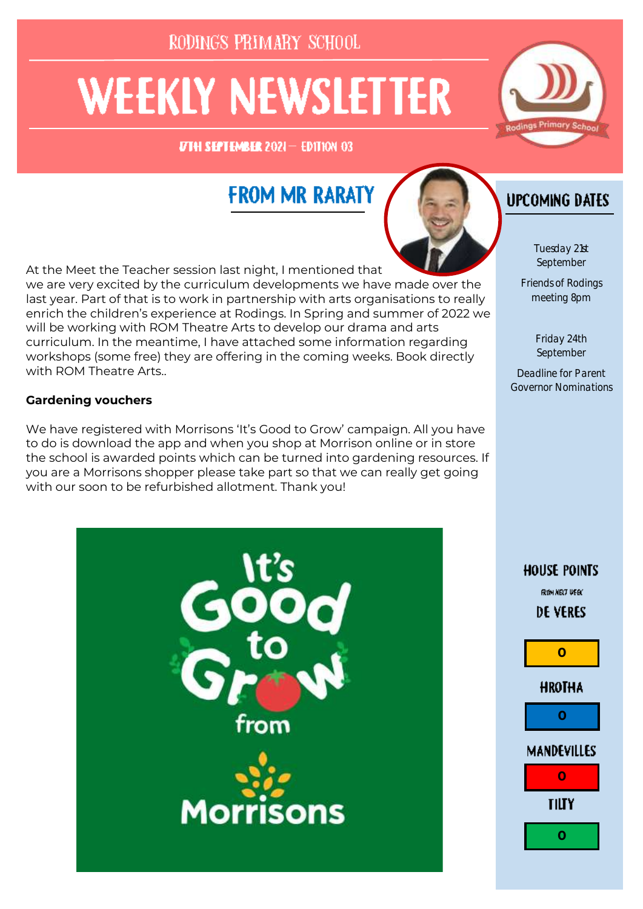RODINGS PRIMARY SCHOOL

# **WEEKLY NEWSLETTER**

UTH SHITHMEHR 2021- EDITION 03



# **FROM MR RARATY**



At the Meet the Teacher session last night, I mentioned that we are very excited by the curriculum developments we have made over the last year. Part of that is to work in partnership with arts organisations to really enrich the children's experience at Rodings. In Spring and summer of 2022 we will be working with ROM Theatre Arts to develop our drama and arts curriculum. In the meantime, I have attached some information regarding workshops (some free) they are offering in the coming weeks. Book directly with ROM Theatre Arts..

#### **Gardening vouchers**

We have registered with Morrisons 'It's Good to Grow' campaign. All you have to do is download the app and when you shop at Morrison online or in store the school is awarded points which can be turned into gardening resources. If you are a Morrisons shopper please take part so that we can really get going with our soon to be refurbished allotment. Thank you!





#### **UPCOMING DATES**

Tuesday 21st September

Friends of Rodings meeting 8pm

> Friday 24th September

Deadline for Parent Governor Nominations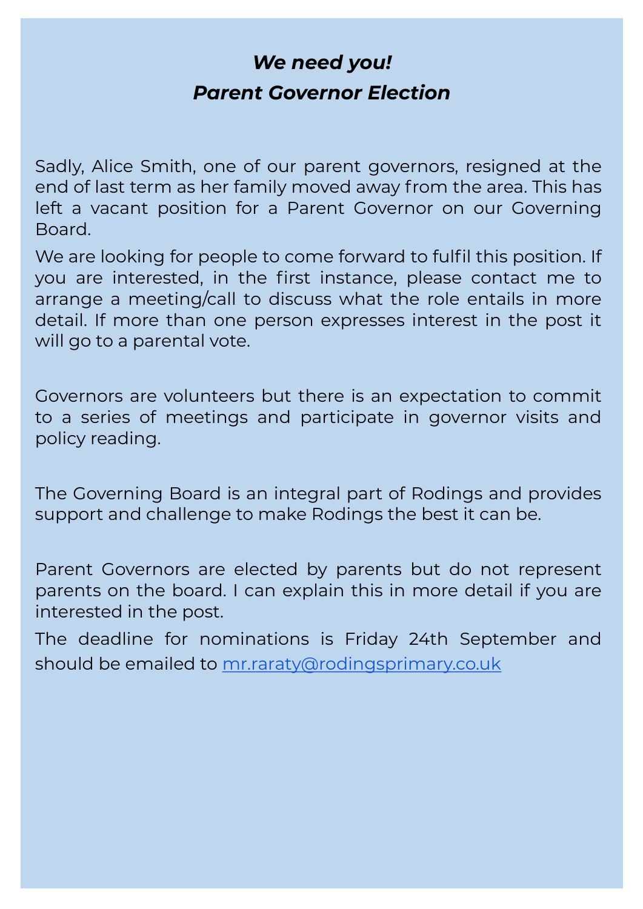# *We need you! Parent Governor Election*

Sadly, Alice Smith, one of our parent governors, resigned at the end of last term as her family moved away from the area. This has left a vacant position for a Parent Governor on our Governing Board.

We are looking for people to come forward to fulfil this position. If you are interested, in the first instance, please contact me to arrange a meeting/call to discuss what the role entails in more detail. If more than one person expresses interest in the post it will go to a parental vote.

Governors are volunteers but there is an expectation to commit to a series of meetings and participate in governor visits and policy reading.

The Governing Board is an integral part of Rodings and provides support and challenge to make Rodings the best it can be.

Parent Governors are elected by parents but do not represent parents on the board. I can explain this in more detail if you are interested in the post.

The deadline for nominations is Friday 24th September and should be emailed to [mr.raraty@rodingsprimary.co.uk](mailto:mr.raraty@rodingsprimary.co.uk)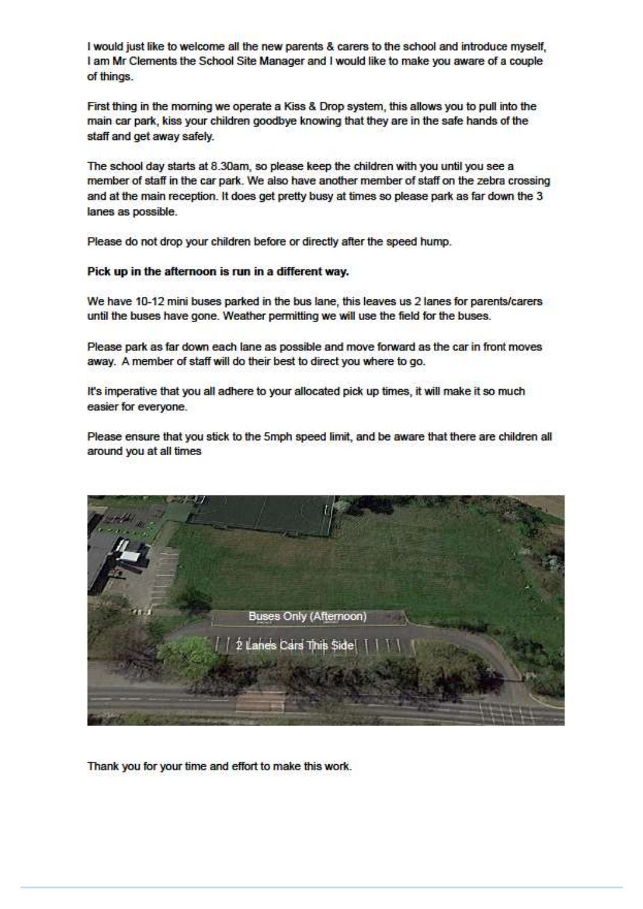I would just like to welcome all the new parents & carers to the school and introduce myself. I am Mr Clements the School Site Manager and I would like to make you aware of a couple of things.

First thing in the morning we operate a Kiss & Drop system, this allows you to pull into the main car park, kiss your children goodbye knowing that they are in the safe hands of the staff and get away safely.

The school day starts at 8.30am, so please keep the children with you until you see a member of staff in the car park. We also have another member of staff on the zebra crossing and at the main reception. It does get pretty busy at times so please park as far down the 3 lanes as possible.

Please do not drop your children before or directly after the speed hump.

#### Pick up in the afternoon is run in a different way.

We have 10-12 mini buses parked in the bus lane, this leaves us 2 lanes for parents/carers until the buses have gone. Weather permitting we will use the field for the buses.

Please park as far down each lane as possible and move forward as the car in front moves away. A member of staff will do their best to direct you where to go.

It's imperative that you all adhere to your allocated pick up times, it will make it so much easier for everyone.

Please ensure that you stick to the 5mph speed limit, and be aware that there are children all around you at all times



Thank you for your time and effort to make this work.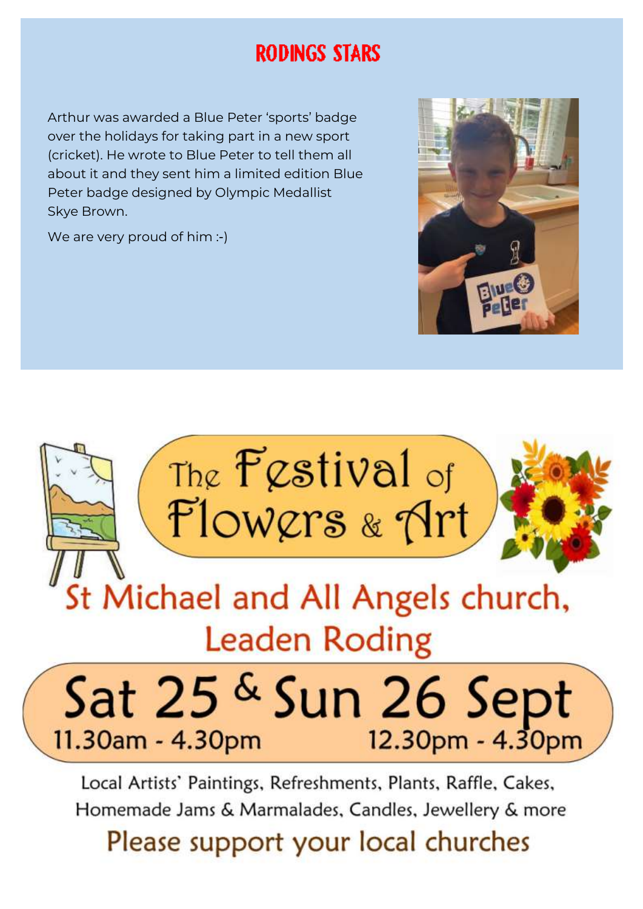## **RODINGS STARS**

Arthur was awarded a Blue Peter 'sports' badge over the holidays for taking part in a new sport (cricket). He wrote to Blue Peter to tell them all about it and they sent him a limited edition Blue Peter badge designed by Olympic Medallist Skye Brown.

We are very proud of him :-)





Local Artists' Paintings, Refreshments, Plants, Raffle, Cakes, Homemade Jams & Marmalades, Candles, Jewellery & more

Please support your local churches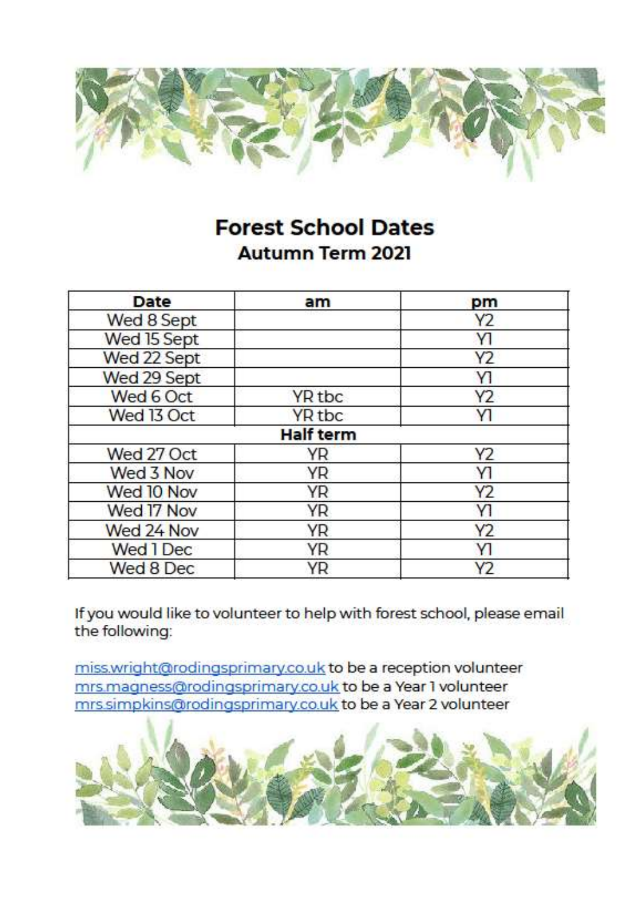

### **Forest School Dates Autumn Term 2021**

| Date        | am               | pm             |
|-------------|------------------|----------------|
| Wed 8 Sept  |                  | Y2             |
| Wed 15 Sept |                  | YI             |
| Wed 22 Sept |                  | Y2             |
| Wed 29 Sept |                  | Y1             |
| Wed 6 Oct   | YR tbc           | Y2             |
| Wed 13 Oct  | YR tbc           | <b>Y1</b>      |
|             | <b>Half term</b> |                |
| Wed 27 Oct  | YR               | Y <sub>2</sub> |
| Wed 3 Nov   | YR               | Y1             |
| Wed 10 Nov  | YR               | Y2             |
| Wed 17 Nov  | YR               | Y1             |
| Wed 24 Nov  | YR               | Y2             |
| Wed 1 Dec   | YR               | Y1             |
| Wed 8 Dec   | ΥR               | Y <sub>2</sub> |

If you would like to volunteer to help with forest school, please email the following:

miss.wright@rodingsprimary.co.uk to be a reception volunteer mrs.magness@rodingsprimary.co.uk to be a Year 1 volunteer mrs.simpkins@rodingsprimary.co.uk to be a Year 2 volunteer

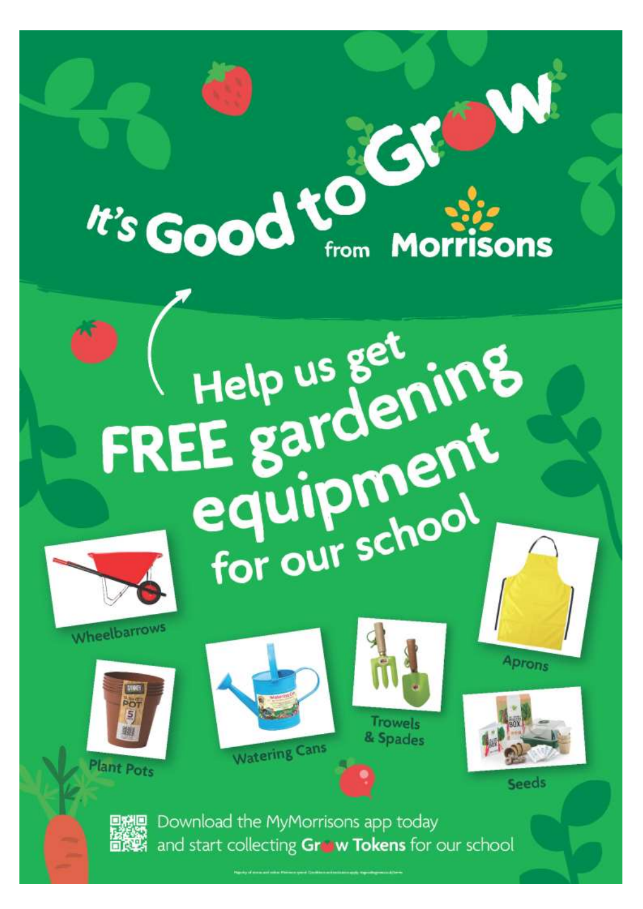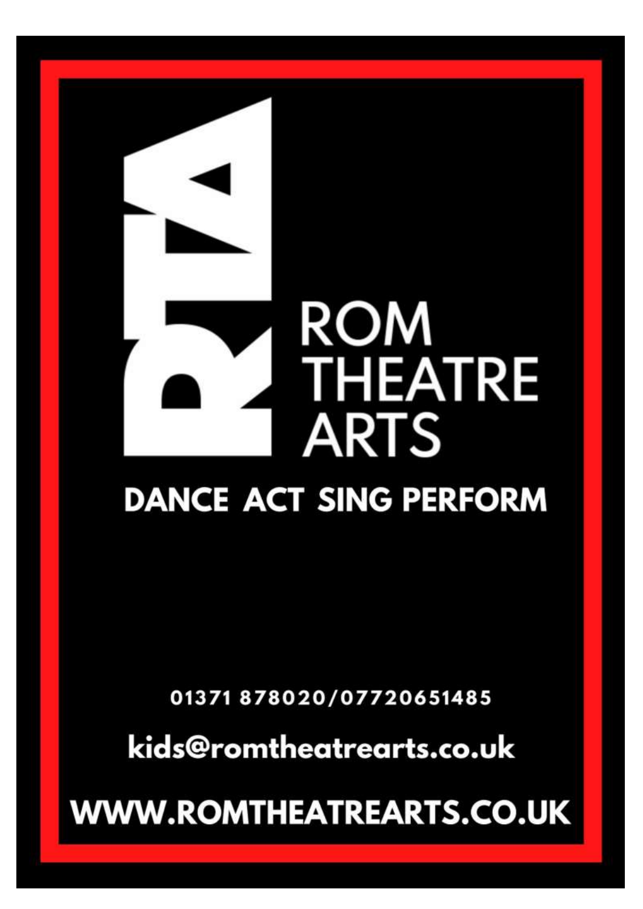# **ROM THEATRE ARTS**

# **DANCE ACT SING PERFORM**

01371 878020/07720651485

kids@romtheatrearts.co.uk

**WWW.ROMTHEATREARTS.CO.UK**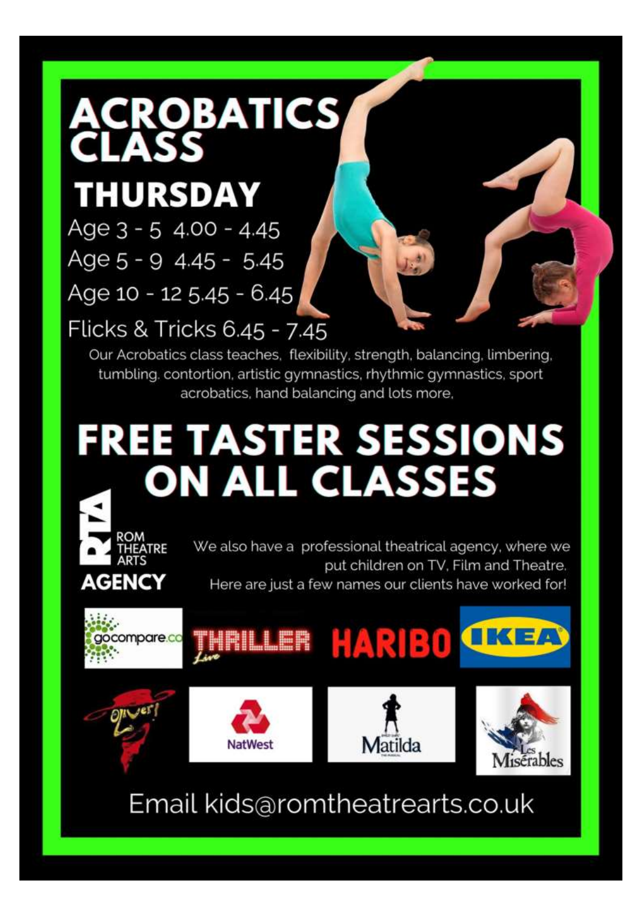

# **THURSDAY**

ROM

**AGENCY** 

THEATRE

Age 3 - 5 4.00 - 4.45 Age 5 - 9 4.45 - 5.45 Age 10 - 12 5.45 - 6.45

Flicks & Tricks 6.45 - 7.45

Our Acrobatics class teaches, flexibility, strength, balancing, limbering, tumbling. contortion, artistic gymnastics, rhythmic gymnastics, sport acrobatics, hand balancing and lots more,

# **FREE TASTER SESSIONS ON ALL GLASSES**

We also have a professional theatrical agency, where we put children on TV. Film and Theatre. Here are just a few names our clients have worked for!

Matilda

isérables



NatWest

Email kids@romtheatrearts.co.uk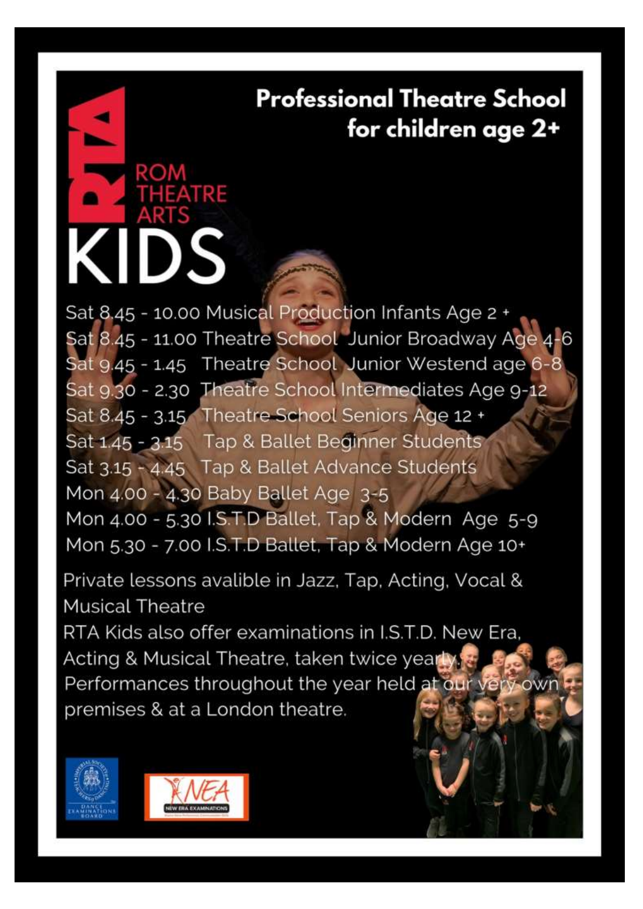**Professional Theatre School** for children age 2+

Sat 8.45 - 10.00 Musical Production Infants Age 2 + Sat 8.45 - 11.00 Theatre School Junior Broadway Age 4 Sat 9.45 - 1.45 Theatre School Junior Westend age 6-8 Sat 9.30 - 2.30 Theatre School Intermediates Age 9-12 Sat 8.45 - 3.15 Theatre School Seniors Age 12 + Sat 1.45 - 3.15 Tap & Ballet Beginner Students Sat 3.15 - 4.45 Tap & Ballet Advance Students Mon 4.00 - 4.30 Baby Ballet Age 3-5 Mon 4.00 - 5.30 I.S.T.D Ballet, Tap & Modern Age 5-9 Mon 5.30 - 7.00 I.S.T.D Ballet, Tap & Modern Age 10+

Private lessons avalible in Jazz, Tap, Acting, Vocal & **Musical Theatre** 

RTA Kids also offer examinations in I.S.T.D. New Era. Acting & Musical Theatre, taken twice yearly Performances throughout the year held at our very own premises & at a London theatre.





**ATRE** 

) S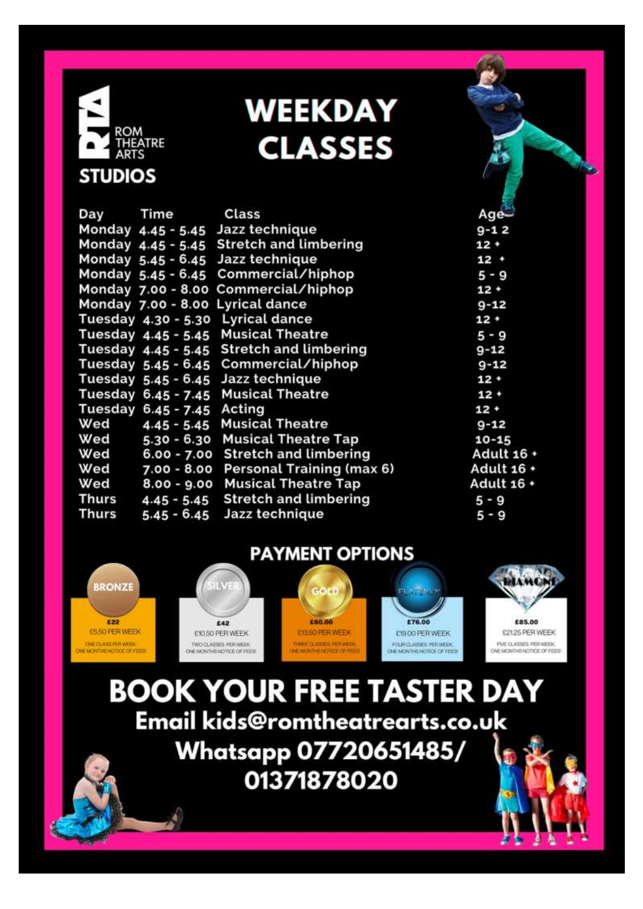

# **WEEKDAY CLASSES**

#### Class Day Time Monday 4.45 - 5.45 Jazz technique Monday 4.45 - 5.45 Stretch and limbering Monday 5.45 - 6.45 Jazz technique Monday 5.45 - 6.45 Commercial/hiphop Monday 7.00 - 8.00 Commercial/hiphop Monday 7.00 - 8.00 Lyrical dance Tuesday 4.30 - 5.30 Lyrical dance Tuesday 4.45 - 5.45 **Musical Theatre** Tuesday 4.45 - 5.45 Stretch and limbering Tuesday 5.45 - 6.45 Commercial/hiphop Tuesday 5.45 - 6.45 Jazz technique Tuesday 6.45 - 7.45 **Musical Theatre** Tuesday 6.45 - 7.45 Acting 4.45 - 5.45 Musical Theatre Wed Wed 5.30 - 6.30 Musical Theatre Tap Wed 6.00 - 7.00 Stretch and limbering Wed 7.00 - 8.00 Personal Training (max 6) 8.00 - 9.00 Musical Theatre Tap Wed **Thurs Stretch and limbering**  $4.45 - 5.45$ **Thurs**  $5.45 - 6.45$ Jazz technique

 $9 - 12$  $12 +$  $12.4$  $5 - 9$  $12 +$  $9 - 12$  $12+$  $5 - 9$  $9 - 12$  $Q - 12$  $12 +$  $12 +$  $12 +$  $9 - 12$  $10 - 15$ Adult 16 + Adult 16 + Adult 16 +  $5 - 9$  $5 - 9$ 

Age

**PAYMENT OPTIONS** 



**BOOK YOUR FREE TASTER DAY** Email kids@romtheatrearts.co.uk **Whatsapp 07720651485/** 01371878020